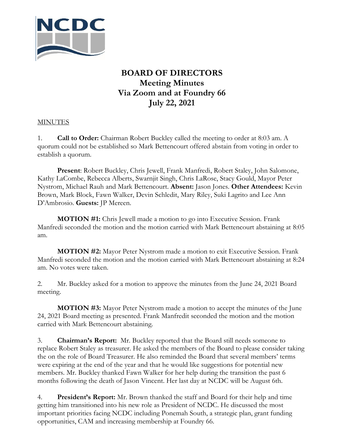

## **BOARD OF DIRECTORS Meeting Minutes Via Zoom and at Foundry 66 July 22, 2021**

## **MINUTES**

1. **Call to Order:** Chairman Robert Buckley called the meeting to order at 8:03 am. A quorum could not be established so Mark Bettencourt offered abstain from voting in order to establish a quorum.

**Present**: Robert Buckley, Chris Jewell, Frank Manfredi, Robert Staley, John Salomone, Kathy LaCombe, Rebecca Alberts, Swarnjit Singh, Chris LaRose, Stacy Gould, Mayor Peter Nystrom, Michael Rauh and Mark Bettencourt. **Absent:** Jason Jones. **Other Attendees:** Kevin Brown, Mark Block, Fawn Walker, Devin Schledit, Mary Riley, Suki Lagrito and Lee Ann D'Ambrosio. **Guests:** JP Mereen.

**MOTION #1:** Chris Jewell made a motion to go into Executive Session. Frank Manfredi seconded the motion and the motion carried with Mark Bettencourt abstaining at 8:05 am.

**MOTION #2:** Mayor Peter Nystrom made a motion to exit Executive Session. Frank Manfredi seconded the motion and the motion carried with Mark Bettencourt abstaining at 8:24 am. No votes were taken.

2. Mr. Buckley asked for a motion to approve the minutes from the June 24, 2021 Board meeting.

**MOTION #3:** Mayor Peter Nystrom made a motion to accept the minutes of the June 24, 2021 Board meeting as presented. Frank Manfredit seconded the motion and the motion carried with Mark Bettencourt abstaining.

3. **Chairman's Report:** Mr. Buckley reported that the Board still needs someone to replace Robert Staley as treasurer. He asked the members of the Board to please consider taking the on the role of Board Treasurer. He also reminded the Board that several members' terms were expiring at the end of the year and that he would like suggestions for potential new members. Mr. Buckley thanked Fawn Walker for her help during the transition the past 6 months following the death of Jason Vincent. Her last day at NCDC will be August 6th.

4. **President's Report:** Mr. Brown thanked the staff and Board for their help and time getting him transitioned into his new role as President of NCDC. He discussed the most important priorities facing NCDC including Ponemah South, a strategic plan, grant funding opportunities, CAM and increasing membership at Foundry 66.